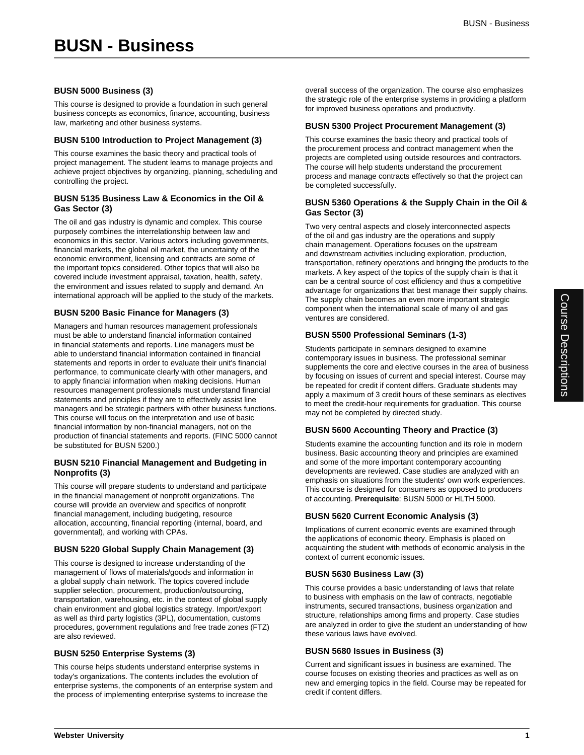# **BUSN 5000 Business (3)**

This course is designed to provide a foundation in such general business concepts as economics, finance, accounting, business law, marketing and other business systems.

#### **BUSN 5100 Introduction to Project Management (3)**

This course examines the basic theory and practical tools of project management. The student learns to manage projects and achieve project objectives by organizing, planning, scheduling and controlling the project.

#### **BUSN 5135 Business Law & Economics in the Oil & Gas Sector (3)**

The oil and gas industry is dynamic and complex. This course purposely combines the interrelationship between law and economics in this sector. Various actors including governments, financial markets, the global oil market, the uncertainty of the economic environment, licensing and contracts are some of the important topics considered. Other topics that will also be covered include investment appraisal, taxation, health, safety, the environment and issues related to supply and demand. An international approach will be applied to the study of the markets.

### **BUSN 5200 Basic Finance for Managers (3)**

Managers and human resources management professionals must be able to understand financial information contained in financial statements and reports. Line managers must be able to understand financial information contained in financial statements and reports in order to evaluate their unit's financial performance, to communicate clearly with other managers, and to apply financial information when making decisions. Human resources management professionals must understand financial statements and principles if they are to effectively assist line managers and be strategic partners with other business functions. This course will focus on the interpretation and use of basic financial information by non-financial managers, not on the production of financial statements and reports. (FINC 5000 cannot be substituted for BUSN 5200.)

#### **BUSN 5210 Financial Management and Budgeting in Nonprofits (3)**

This course will prepare students to understand and participate in the financial management of nonprofit organizations. The course will provide an overview and specifics of nonprofit financial management, including budgeting, resource allocation, accounting, financial reporting (internal, board, and governmental), and working with CPAs.

### **BUSN 5220 Global Supply Chain Management (3)**

This course is designed to increase understanding of the management of flows of materials/goods and information in a global supply chain network. The topics covered include supplier selection, procurement, production/outsourcing, transportation, warehousing, etc. in the context of global supply chain environment and global logistics strategy. Import/export as well as third party logistics (3PL), documentation, customs procedures, government regulations and free trade zones (FTZ) are also reviewed.

### **BUSN 5250 Enterprise Systems (3)**

This course helps students understand enterprise systems in today's organizations. The contents includes the evolution of enterprise systems, the components of an enterprise system and the process of implementing enterprise systems to increase the

overall success of the organization. The course also emphasizes the strategic role of the enterprise systems in providing a platform for improved business operations and productivity.

#### **BUSN 5300 Project Procurement Management (3)**

This course examines the basic theory and practical tools of the procurement process and contract management when the projects are completed using outside resources and contractors. The course will help students understand the procurement process and manage contracts effectively so that the project can be completed successfully.

#### **BUSN 5360 Operations & the Supply Chain in the Oil & Gas Sector (3)**

Two very central aspects and closely interconnected aspects of the oil and gas industry are the operations and supply chain management. Operations focuses on the upstream and downstream activities including exploration, production, transportation, refinery operations and bringing the products to the markets. A key aspect of the topics of the supply chain is that it can be a central source of cost efficiency and thus a competitive advantage for organizations that best manage their supply chains. The supply chain becomes an even more important strategic component when the international scale of many oil and gas ventures are considered.

# **BUSN 5500 Professional Seminars (1-3)**

Students participate in seminars designed to examine contemporary issues in business. The professional seminar supplements the core and elective courses in the area of business by focusing on issues of current and special interest. Course may be repeated for credit if content differs. Graduate students may apply a maximum of 3 credit hours of these seminars as electives to meet the credit-hour requirements for graduation. This course may not be completed by directed study.

### **BUSN 5600 Accounting Theory and Practice (3)**

Students examine the accounting function and its role in modern business. Basic accounting theory and principles are examined and some of the more important contemporary accounting developments are reviewed. Case studies are analyzed with an emphasis on situations from the students' own work experiences. This course is designed for consumers as opposed to producers of accounting. **Prerequisite**: BUSN 5000 or HLTH 5000.

### **BUSN 5620 Current Economic Analysis (3)**

Implications of current economic events are examined through the applications of economic theory. Emphasis is placed on acquainting the student with methods of economic analysis in the context of current economic issues.

### **BUSN 5630 Business Law (3)**

This course provides a basic understanding of laws that relate to business with emphasis on the law of contracts, negotiable instruments, secured transactions, business organization and structure, relationships among firms and property. Case studies are analyzed in order to give the student an understanding of how these various laws have evolved.

### **BUSN 5680 Issues in Business (3)**

Current and significant issues in business are examined. The course focuses on existing theories and practices as well as on new and emerging topics in the field. Course may be repeated for credit if content differs.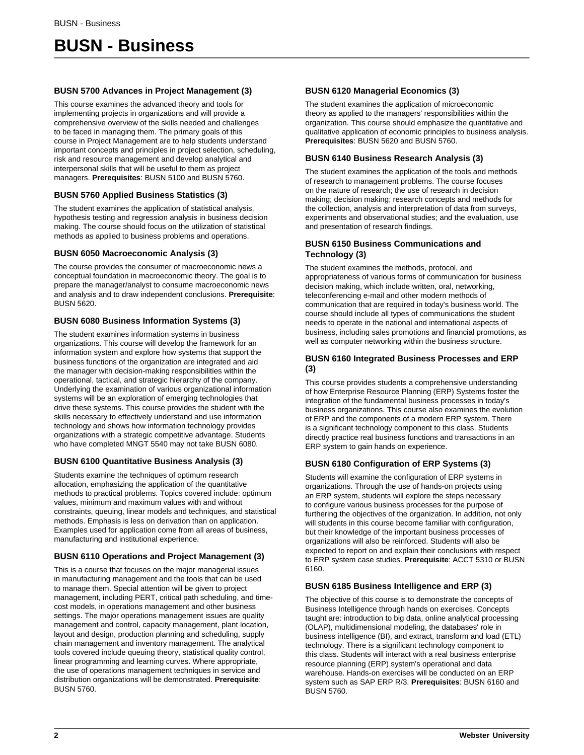# **BUSN 5700 Advances in Project Management (3)**

This course examines the advanced theory and tools for implementing projects in organizations and will provide a comprehensive overview of the skills needed and challenges to be faced in managing them. The primary goals of this course in Project Management are to help students understand important concepts and principles in project selection, scheduling, risk and resource management and develop analytical and interpersonal skills that will be useful to them as project managers. **Prerequisites**: BUSN 5100 and BUSN 5760.

# **BUSN 5760 Applied Business Statistics (3)**

The student examines the application of statistical analysis, hypothesis testing and regression analysis in business decision making. The course should focus on the utilization of statistical methods as applied to business problems and operations.

# **BUSN 6050 Macroeconomic Analysis (3)**

The course provides the consumer of macroeconomic news a conceptual foundation in macroeconomic theory. The goal is to prepare the manager/analyst to consume macroeconomic news and analysis and to draw independent conclusions. **Prerequisite**: BUSN 5620.

# **BUSN 6080 Business Information Systems (3)**

The student examines information systems in business organizations. This course will develop the framework for an information system and explore how systems that support the business functions of the organization are integrated and aid the manager with decision-making responsibilities within the operational, tactical, and strategic hierarchy of the company. Underlying the examination of various organizational information systems will be an exploration of emerging technologies that drive these systems. This course provides the student with the skills necessary to effectively understand and use information technology and shows how information technology provides organizations with a strategic competitive advantage. Students who have completed MNGT 5540 may not take BUSN 6080.

### **BUSN 6100 Quantitative Business Analysis (3)**

Students examine the techniques of optimum research allocation, emphasizing the application of the quantitative methods to practical problems. Topics covered include: optimum values, minimum and maximum values with and without constraints, queuing, linear models and techniques, and statistical methods. Emphasis is less on derivation than on application. Examples used for application come from all areas of business, manufacturing and institutional experience.

### **BUSN 6110 Operations and Project Management (3)**

This is a course that focuses on the major managerial issues in manufacturing management and the tools that can be used to manage them. Special attention will be given to project management, including PERT, critical path scheduling, and timecost models, in operations management and other business settings. The major operations management issues are quality management and control, capacity management, plant location, layout and design, production planning and scheduling, supply chain management and inventory management. The analytical tools covered include queuing theory, statistical quality control, linear programming and learning curves. Where appropriate, the use of operations management techniques in service and distribution organizations will be demonstrated. **Prerequisite**: BUSN 5760.

### **BUSN 6120 Managerial Economics (3)**

The student examines the application of microeconomic theory as applied to the managers' responsibilities within the organization. This course should emphasize the quantitative and qualitative application of economic principles to business analysis. **Prerequisites**: BUSN 5620 and BUSN 5760.

### **BUSN 6140 Business Research Analysis (3)**

The student examines the application of the tools and methods of research to management problems. The course focuses on the nature of research; the use of research in decision making; decision making; research concepts and methods for the collection, analysis and interpretation of data from surveys, experiments and observational studies; and the evaluation, use and presentation of research findings.

# **BUSN 6150 Business Communications and Technology (3)**

The student examines the methods, protocol, and appropriateness of various forms of communication for business decision making, which include written, oral, networking, teleconferencing e-mail and other modern methods of communication that are required in today's business world. The course should include all types of communications the student needs to operate in the national and international aspects of business, including sales promotions and financial promotions, as well as computer networking within the business structure.

### **BUSN 6160 Integrated Business Processes and ERP (3)**

This course provides students a comprehensive understanding of how Enterprise Resource Planning (ERP) Systems foster the integration of the fundamental business processes in today's business organizations. This course also examines the evolution of ERP and the components of a modern ERP system. There is a significant technology component to this class. Students directly practice real business functions and transactions in an ERP system to gain hands on experience.

# **BUSN 6180 Configuration of ERP Systems (3)**

Students will examine the configuration of ERP systems in organizations. Through the use of hands-on projects using an ERP system, students will explore the steps necessary to configure various business processes for the purpose of furthering the objectives of the organization. In addition, not only will students in this course become familiar with configuration, but their knowledge of the important business processes of organizations will also be reinforced. Students will also be expected to report on and explain their conclusions with respect to ERP system case studies. **Prerequisite**: ACCT 5310 or BUSN 6160.

### **BUSN 6185 Business Intelligence and ERP (3)**

The objective of this course is to demonstrate the concepts of Business Intelligence through hands on exercises. Concepts taught are: introduction to big data, online analytical processing (OLAP), multidimensional modeling, the databases' role in business intelligence (BI), and extract, transform and load (ETL) technology. There is a significant technology component to this class. Students will interact with a real business enterprise resource planning (ERP) system's operational and data warehouse. Hands-on exercises will be conducted on an ERP system such as SAP ERP R/3. **Prerequisites**: BUSN 6160 and BUSN 5760.